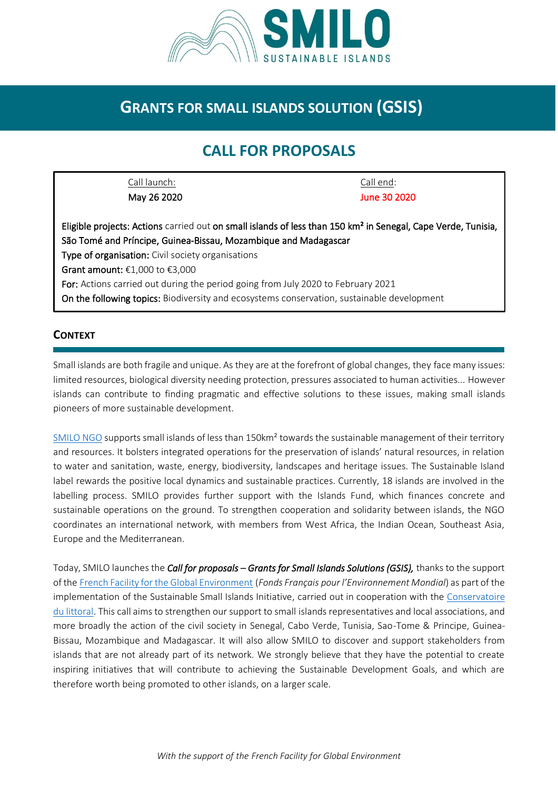

## **GRANTS FOR SMALL ISLANDS SOLUTION (GSIS)**

# **CALL FOR PROPOSALS**

Call launch: Call end: May 26 2020 June 30 2020

#### **CONTEXT**

Small islands are both fragile and unique. As they are at the forefront of global changes, they face many issues: limited resources, biological diversity needing protection, pressures associated to human activities... However islands can contribute to finding pragmatic and effective solutions to these issues, making small islands pioneers of more sustainable development.

[SMILO NGO](http://www.smilo-program.org/en/) supports small islands of less than 150km² towards the sustainable management of their territory and resources. It bolsters integrated operations for the preservation of islands' natural resources, in relation to water and sanitation, waste, energy, biodiversity, landscapes and heritage issues. The Sustainable Island label rewards the positive local dynamics and sustainable practices. Currently, 18 islands are involved in the labelling process. SMILO provides further support with the Islands Fund, which finances concrete and sustainable operations on the ground. To strengthen cooperation and solidarity between islands, the NGO coordinates an international network, with members from West Africa, the Indian Ocean, Southeast Asia, Europe and the Mediterranean.

Today, SMILO launches the *Call for proposals – Grants for Small Islands Solutions (GSIS),* thanks to the support of the [French Facility for the Global Environment](https://www.ffem.fr/en) (*Fonds Français pour l'Environnement Mondial*) as part of the implementation of the Sustainable Small Islands Initiative, carried out in cooperation with the [Conservatoire](http://www.conservatoire-du-littoral.fr/)  [du littoral.](http://www.conservatoire-du-littoral.fr/) This call aims to strengthen our support to small islands representatives and local associations, and more broadly the action of the civil society in Senegal, Cabo Verde, Tunisia, Sao-Tome & Principe, Guinea-Bissau, Mozambique and Madagascar. It will also allow SMILO to discover and support stakeholders from islands that are not already part of its network. We strongly believe that they have the potential to create inspiring initiatives that will contribute to achieving the Sustainable Development Goals, and which are therefore worth being promoted to other islands, on a larger scale.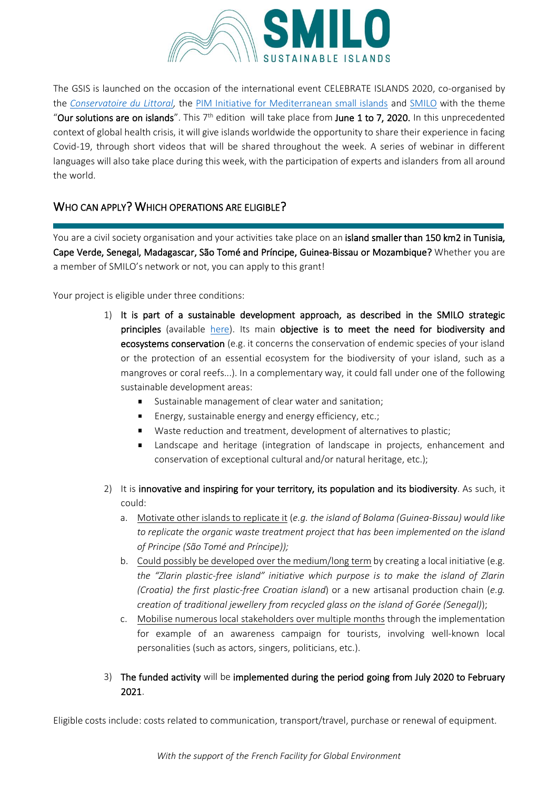

The GSIS is launched on the occasion of the international event CELEBRATE ISLANDS 2020, co-organised by the *[Conservatoire du Littoral,](http://www.conservatoire-du-littoral.fr/)* the [PIM Initiative for Mediterranean small islands](http://initiative-pim.org/index.php/en/home/) and [SMILO](http://www.smilo-program.org/en/) with the theme "Our solutions are on islands". This  $7<sup>th</sup>$  edition will take place from June 1 to 7, 2020. In this unprecedented context of global health crisis, it will give islands worldwide the opportunity to share their experience in facing Covid-19, through short videos that will be shared throughout the week. A series of webinar in different languages will also take place during this week, with the participation of experts and islanders from all around the world.

#### WHO CAN APPLY? WHICH OPERATIONS ARE ELIGIBLE?

You are a civil society organisation and your activities take place on an island smaller than 150 km2 in Tunisia, Cape Verde, Senegal, Madagascar, São Tomé and Príncipe, Guinea-Bissau or Mozambique? Whether you are a member of SMILO's network or not, you can apply to this grant!

Your project is eligible under three conditions:

- 1) It is part of a sustainable development approach, as described in the SMILO strategic principles (available [here\)](http://www.smilo-program.org/images/2-Label/principe_stratégiques/A_STRATEGIC_PRINCIPLES.pdf). Its main objective is to meet the need for biodiversity and ecosystems conservation (e.g. it concerns the conservation of endemic species of your island or the protection of an essential ecosystem for the biodiversity of your island, such as a mangroves or coral reefs...). In a complementary way, it could fall under one of the following sustainable development areas:
	- $\blacksquare$ Sustainable management of clear water and sanitation;
	- Energy, sustainable energy and energy efficiency, etc.;
	- Waste reduction and treatment, development of alternatives to plastic;
	- Landscape and heritage (integration of landscape in projects, enhancement and conservation of exceptional cultural and/or natural heritage, etc.);
- 2) It is innovative and inspiring for your territory, its population and its biodiversity. As such, it could:
	- a. Motivate other islands to replicate it (*e.g. the island of Bolama (Guinea-Bissau) would like to replicate the organic waste treatment project that has been implemented on the island of Principe (São Tomé and Príncipe));*
	- b. Could possibly be developed over the medium/long term by creating a local initiative (e.g. *the "Zlarin plastic-free island" initiative which purpose is to make the island of Zlarin (Croatia) the first plastic-free Croatian island*) or a new artisanal production chain (*e.g. creation of traditional jewellery from recycled glass on the island of Gorée (Senegal)*);
	- c. Mobilise numerous local stakeholders over multiple months through the implementation for example of an awareness campaign for tourists, involving well-known local personalities (such as actors, singers, politicians, etc.).

#### 3) The funded activity will be implemented during the period going from July 2020 to February 2021.

Eligible costs include: costs related to communication, transport/travel, purchase or renewal of equipment.